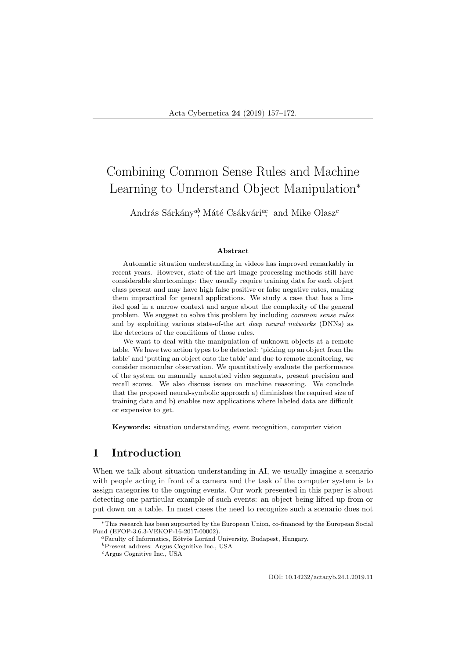# Combining Common Sense Rules and Machine Learning to Understand Object Manipulation<sup>∗</sup>

András Sárkány<sup>ab</sup>, Máté Csákvári<sup>ac</sup>, and Mike Olasz<sup>c</sup>

#### Abstract

Automatic situation understanding in videos has improved remarkably in recent years. However, state-of-the-art image processing methods still have considerable shortcomings: they usually require training data for each object class present and may have high false positive or false negative rates, making them impractical for general applications. We study a case that has a limited goal in a narrow context and argue about the complexity of the general problem. We suggest to solve this problem by including common sense rules and by exploiting various state-of-the art deep neural networks (DNNs) as the detectors of the conditions of those rules.

We want to deal with the manipulation of unknown objects at a remote table. We have two action types to be detected: 'picking up an object from the table' and 'putting an object onto the table' and due to remote monitoring, we consider monocular observation. We quantitatively evaluate the performance of the system on manually annotated video segments, present precision and recall scores. We also discuss issues on machine reasoning. We conclude that the proposed neural-symbolic approach a) diminishes the required size of training data and b) enables new applications where labeled data are difficult or expensive to get.

Keywords: situation understanding, event recognition, computer vision

# 1 Introduction

When we talk about situation understanding in AI, we usually imagine a scenario with people acting in front of a camera and the task of the computer system is to assign categories to the ongoing events. Our work presented in this paper is about detecting one particular example of such events: an object being lifted up from or put down on a table. In most cases the need to recognize such a scenario does not

DOI: 10.14232/actacyb.24.1.2019.11

<sup>∗</sup>This research has been supported by the European Union, co-financed by the European Social Fund (EFOP-3.6.3-VEKOP-16-2017-00002).

<sup>&</sup>lt;sup>a</sup>Faculty of Informatics, Eötvös Loránd University, Budapest, Hungary.

 ${}^{b}\mathrm{Present}$  address: Argus Cognitive Inc., USA

<sup>c</sup>Argus Cognitive Inc., USA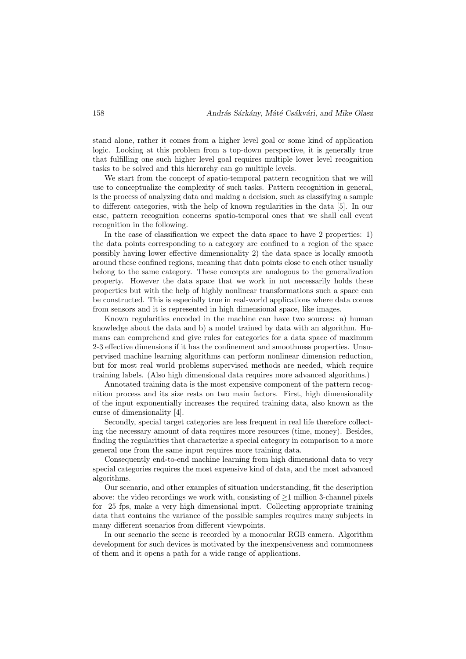stand alone, rather it comes from a higher level goal or some kind of application logic. Looking at this problem from a top-down perspective, it is generally true that fulfilling one such higher level goal requires multiple lower level recognition tasks to be solved and this hierarchy can go multiple levels.

We start from the concept of spatio-temporal pattern recognition that we will use to conceptualize the complexity of such tasks. Pattern recognition in general, is the process of analyzing data and making a decision, such as classifying a sample to different categories, with the help of known regularities in the data [5]. In our case, pattern recognition concerns spatio-temporal ones that we shall call event recognition in the following.

In the case of classification we expect the data space to have 2 properties: 1) the data points corresponding to a category are confined to a region of the space possibly having lower effective dimensionality 2) the data space is locally smooth around these confined regions, meaning that data points close to each other usually belong to the same category. These concepts are analogous to the generalization property. However the data space that we work in not necessarily holds these properties but with the help of highly nonlinear transformations such a space can be constructed. This is especially true in real-world applications where data comes from sensors and it is represented in high dimensional space, like images.

Known regularities encoded in the machine can have two sources: a) human knowledge about the data and b) a model trained by data with an algorithm. Humans can comprehend and give rules for categories for a data space of maximum 2-3 effective dimensions if it has the confinement and smoothness properties. Unsupervised machine learning algorithms can perform nonlinear dimension reduction, but for most real world problems supervised methods are needed, which require training labels. (Also high dimensional data requires more advanced algorithms.)

Annotated training data is the most expensive component of the pattern recognition process and its size rests on two main factors. First, high dimensionality of the input exponentially increases the required training data, also known as the curse of dimensionality [4].

Secondly, special target categories are less frequent in real life therefore collecting the necessary amount of data requires more resources (time, money). Besides, finding the regularities that characterize a special category in comparison to a more general one from the same input requires more training data.

Consequently end-to-end machine learning from high dimensional data to very special categories requires the most expensive kind of data, and the most advanced algorithms.

Our scenario, and other examples of situation understanding, fit the description above: the video recordings we work with, consisting of  $\geq 1$  million 3-channel pixels for 25 fps, make a very high dimensional input. Collecting appropriate training data that contains the variance of the possible samples requires many subjects in many different scenarios from different viewpoints.

In our scenario the scene is recorded by a monocular RGB camera. Algorithm development for such devices is motivated by the inexpensiveness and commonness of them and it opens a path for a wide range of applications.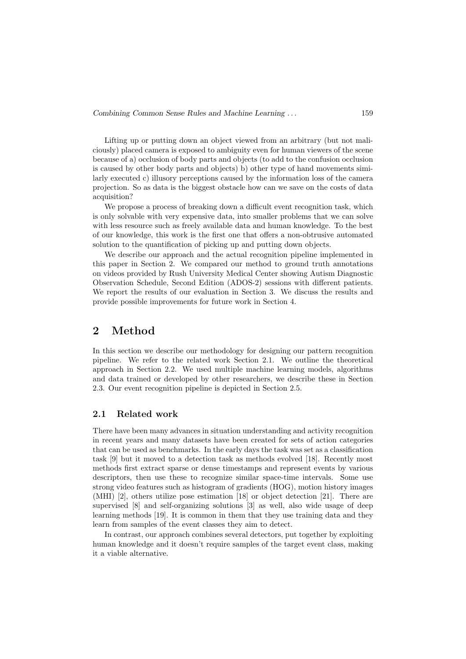Lifting up or putting down an object viewed from an arbitrary (but not maliciously) placed camera is exposed to ambiguity even for human viewers of the scene because of a) occlusion of body parts and objects (to add to the confusion occlusion is caused by other body parts and objects) b) other type of hand movements similarly executed c) illusory perceptions caused by the information loss of the camera projection. So as data is the biggest obstacle how can we save on the costs of data acquisition?

We propose a process of breaking down a difficult event recognition task, which is only solvable with very expensive data, into smaller problems that we can solve with less resource such as freely available data and human knowledge. To the best of our knowledge, this work is the first one that offers a non-obtrusive automated solution to the quantification of picking up and putting down objects.

We describe our approach and the actual recognition pipeline implemented in this paper in Section 2. We compared our method to ground truth annotations on videos provided by Rush University Medical Center showing Autism Diagnostic Observation Schedule, Second Edition (ADOS-2) sessions with different patients. We report the results of our evaluation in Section 3. We discuss the results and provide possible improvements for future work in Section 4.

# 2 Method

In this section we describe our methodology for designing our pattern recognition pipeline. We refer to the related work Section 2.1. We outline the theoretical approach in Section 2.2. We used multiple machine learning models, algorithms and data trained or developed by other researchers, we describe these in Section 2.3. Our event recognition pipeline is depicted in Section 2.5.

### 2.1 Related work

There have been many advances in situation understanding and activity recognition in recent years and many datasets have been created for sets of action categories that can be used as benchmarks. In the early days the task was set as a classification task [9] but it moved to a detection task as methods evolved [18]. Recently most methods first extract sparse or dense timestamps and represent events by various descriptors, then use these to recognize similar space-time intervals. Some use strong video features such as histogram of gradients (HOG), motion history images (MHI) [2], others utilize pose estimation [18] or object detection [21]. There are supervised [8] and self-organizing solutions [3] as well, also wide usage of deep learning methods [19]. It is common in them that they use training data and they learn from samples of the event classes they aim to detect.

In contrast, our approach combines several detectors, put together by exploiting human knowledge and it doesn't require samples of the target event class, making it a viable alternative.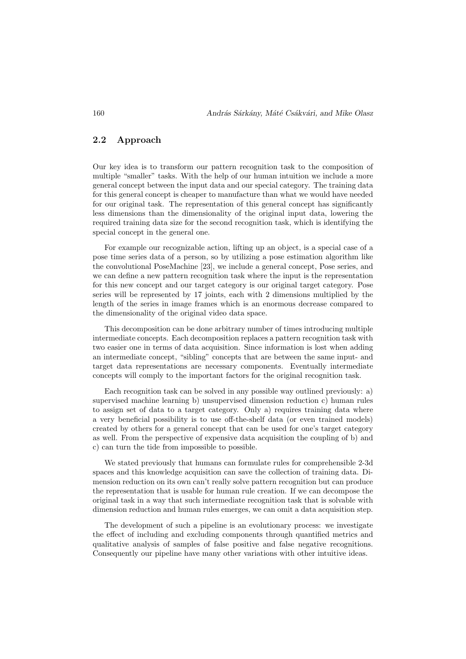# 2.2 Approach

Our key idea is to transform our pattern recognition task to the composition of multiple "smaller" tasks. With the help of our human intuition we include a more general concept between the input data and our special category. The training data for this general concept is cheaper to manufacture than what we would have needed for our original task. The representation of this general concept has significantly less dimensions than the dimensionality of the original input data, lowering the required training data size for the second recognition task, which is identifying the special concept in the general one.

For example our recognizable action, lifting up an object, is a special case of a pose time series data of a person, so by utilizing a pose estimation algorithm like the convolutional PoseMachine [23], we include a general concept, Pose series, and we can define a new pattern recognition task where the input is the representation for this new concept and our target category is our original target category. Pose series will be represented by 17 joints, each with 2 dimensions multiplied by the length of the series in image frames which is an enormous decrease compared to the dimensionality of the original video data space.

This decomposition can be done arbitrary number of times introducing multiple intermediate concepts. Each decomposition replaces a pattern recognition task with two easier one in terms of data acquisition. Since information is lost when adding an intermediate concept, "sibling" concepts that are between the same input- and target data representations are necessary components. Eventually intermediate concepts will comply to the important factors for the original recognition task.

Each recognition task can be solved in any possible way outlined previously: a) supervised machine learning b) unsupervised dimension reduction c) human rules to assign set of data to a target category. Only a) requires training data where a very beneficial possibility is to use off-the-shelf data (or even trained models) created by others for a general concept that can be used for one's target category as well. From the perspective of expensive data acquisition the coupling of b) and c) can turn the tide from impossible to possible.

We stated previously that humans can formulate rules for comprehensible 2-3d spaces and this knowledge acquisition can save the collection of training data. Dimension reduction on its own can't really solve pattern recognition but can produce the representation that is usable for human rule creation. If we can decompose the original task in a way that such intermediate recognition task that is solvable with dimension reduction and human rules emerges, we can omit a data acquisition step.

The development of such a pipeline is an evolutionary process: we investigate the effect of including and excluding components through quantified metrics and qualitative analysis of samples of false positive and false negative recognitions. Consequently our pipeline have many other variations with other intuitive ideas.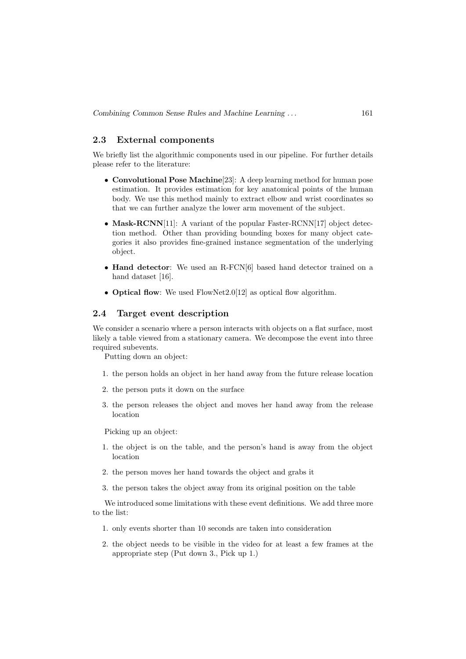# 2.3 External components

We briefly list the algorithmic components used in our pipeline. For further details please refer to the literature:

- Convolutional Pose Machine[23]: A deep learning method for human pose estimation. It provides estimation for key anatomical points of the human body. We use this method mainly to extract elbow and wrist coordinates so that we can further analyze the lower arm movement of the subject.
- Mask-RCNN[11]: A variant of the popular Faster-RCNN[17] object detection method. Other than providing bounding boxes for many object categories it also provides fine-grained instance segmentation of the underlying object.
- Hand detector: We used an R-FCN[6] based hand detector trained on a hand dataset [16].
- Optical flow: We used FlowNet2.0[12] as optical flow algorithm.

### 2.4 Target event description

We consider a scenario where a person interacts with objects on a flat surface, most likely a table viewed from a stationary camera. We decompose the event into three required subevents.

Putting down an object:

- 1. the person holds an object in her hand away from the future release location
- 2. the person puts it down on the surface
- 3. the person releases the object and moves her hand away from the release location

Picking up an object:

- 1. the object is on the table, and the person's hand is away from the object location
- 2. the person moves her hand towards the object and grabs it
- 3. the person takes the object away from its original position on the table

We introduced some limitations with these event definitions. We add three more to the list:

- 1. only events shorter than 10 seconds are taken into consideration
- 2. the object needs to be visible in the video for at least a few frames at the appropriate step (Put down 3., Pick up 1.)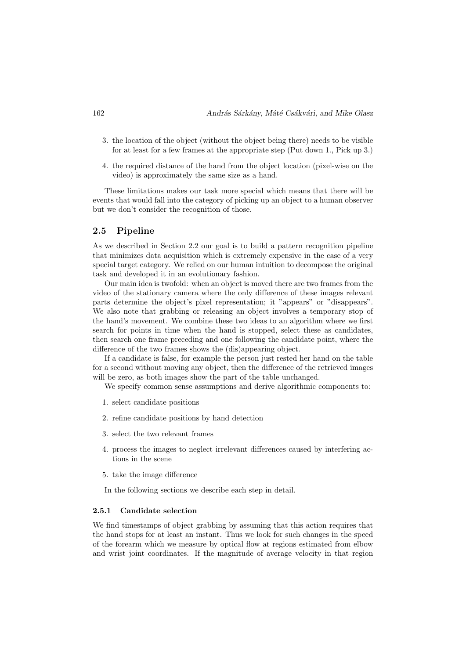- 3. the location of the object (without the object being there) needs to be visible for at least for a few frames at the appropriate step (Put down 1., Pick up 3.)
- 4. the required distance of the hand from the object location (pixel-wise on the video) is approximately the same size as a hand.

These limitations makes our task more special which means that there will be events that would fall into the category of picking up an object to a human observer but we don't consider the recognition of those.

### 2.5 Pipeline

As we described in Section 2.2 our goal is to build a pattern recognition pipeline that minimizes data acquisition which is extremely expensive in the case of a very special target category. We relied on our human intuition to decompose the original task and developed it in an evolutionary fashion.

Our main idea is twofold: when an object is moved there are two frames from the video of the stationary camera where the only difference of these images relevant parts determine the object's pixel representation; it "appears" or "disappears". We also note that grabbing or releasing an object involves a temporary stop of the hand's movement. We combine these two ideas to an algorithm where we first search for points in time when the hand is stopped, select these as candidates, then search one frame preceding and one following the candidate point, where the difference of the two frames shows the (dis)appearing object.

If a candidate is false, for example the person just rested her hand on the table for a second without moving any object, then the difference of the retrieved images will be zero, as both images show the part of the table unchanged.

We specify common sense assumptions and derive algorithmic components to:

- 1. select candidate positions
- 2. refine candidate positions by hand detection
- 3. select the two relevant frames
- 4. process the images to neglect irrelevant differences caused by interfering actions in the scene
- 5. take the image difference

In the following sections we describe each step in detail.

#### 2.5.1 Candidate selection

We find timestamps of object grabbing by assuming that this action requires that the hand stops for at least an instant. Thus we look for such changes in the speed of the forearm which we measure by optical flow at regions estimated from elbow and wrist joint coordinates. If the magnitude of average velocity in that region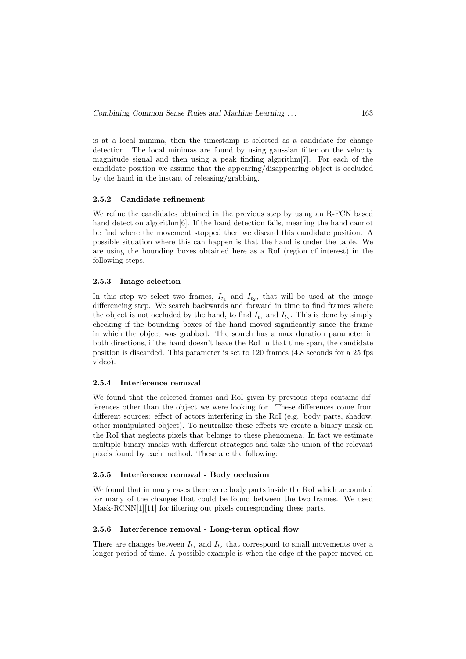is at a local minima, then the timestamp is selected as a candidate for change detection. The local minimas are found by using gaussian filter on the velocity magnitude signal and then using a peak finding algorithm[7]. For each of the candidate position we assume that the appearing/disappearing object is occluded by the hand in the instant of releasing/grabbing.

#### 2.5.2 Candidate refinement

We refine the candidates obtained in the previous step by using an R-FCN based hand detection algorithm[6]. If the hand detection fails, meaning the hand cannot be find where the movement stopped then we discard this candidate position. A possible situation where this can happen is that the hand is under the table. We are using the bounding boxes obtained here as a RoI (region of interest) in the following steps.

#### 2.5.3 Image selection

In this step we select two frames,  $I_{t_1}$  and  $I_{t_2}$ , that will be used at the image differencing step. We search backwards and forward in time to find frames where the object is not occluded by the hand, to find  $I_{t_1}$  and  $I_{t_2}$ . This is done by simply checking if the bounding boxes of the hand moved significantly since the frame in which the object was grabbed. The search has a max duration parameter in both directions, if the hand doesn't leave the RoI in that time span, the candidate position is discarded. This parameter is set to 120 frames (4.8 seconds for a 25 fps video).

#### 2.5.4 Interference removal

We found that the selected frames and RoI given by previous steps contains differences other than the object we were looking for. These differences come from different sources: effect of actors interfering in the RoI (e.g. body parts, shadow, other manipulated object). To neutralize these effects we create a binary mask on the RoI that neglects pixels that belongs to these phenomena. In fact we estimate multiple binary masks with different strategies and take the union of the relevant pixels found by each method. These are the following:

### 2.5.5 Interference removal - Body occlusion

We found that in many cases there were body parts inside the RoI which accounted for many of the changes that could be found between the two frames. We used Mask-RCNN[1][11] for filtering out pixels corresponding these parts.

### 2.5.6 Interference removal - Long-term optical flow

There are changes between  $I_{t_1}$  and  $I_{t_2}$  that correspond to small movements over a longer period of time. A possible example is when the edge of the paper moved on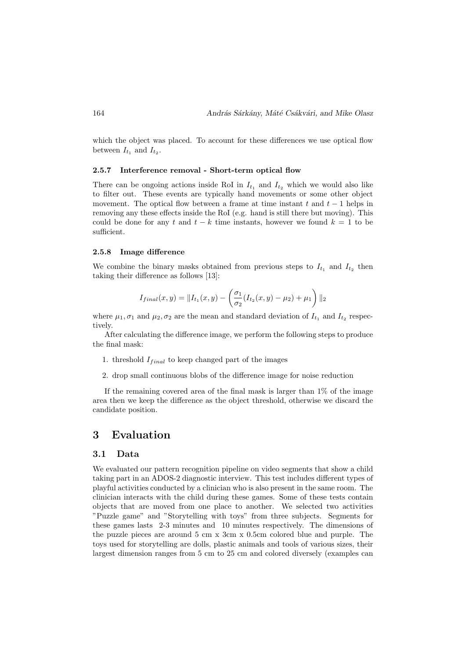which the object was placed. To account for these differences we use optical flow between  $I_{t_1}$  and  $I_{t_2}$ .

#### 2.5.7 Interference removal - Short-term optical flow

There can be ongoing actions inside RoI in  $I_{t_1}$  and  $I_{t_2}$  which we would also like to filter out. These events are typically hand movements or some other object movement. The optical flow between a frame at time instant t and  $t-1$  helps in removing any these effects inside the RoI (e.g. hand is still there but moving). This could be done for any t and  $t - k$  time instants, however we found  $k = 1$  to be sufficient.

#### 2.5.8 Image difference

We combine the binary masks obtained from previous steps to  $I_{t_1}$  and  $I_{t_2}$  then taking their difference as follows [13]:

$$
I_{final}(x,y) = ||I_{t_1}(x,y) - \left(\frac{\sigma_1}{\sigma_2}(I_{t_2}(x,y) - \mu_2) + \mu_1\right)||_2
$$

where  $\mu_1, \sigma_1$  and  $\mu_2, \sigma_2$  are the mean and standard deviation of  $I_{t_1}$  and  $I_{t_2}$  respectively.

After calculating the difference image, we perform the following steps to produce the final mask:

- 1. threshold  $I_{final}$  to keep changed part of the images
- 2. drop small continuous blobs of the difference image for noise reduction

If the remaining covered area of the final mask is larger than  $1\%$  of the image area then we keep the difference as the object threshold, otherwise we discard the candidate position.

# 3 Evaluation

#### 3.1 Data

We evaluated our pattern recognition pipeline on video segments that show a child taking part in an ADOS-2 diagnostic interview. This test includes different types of playful activities conducted by a clinician who is also present in the same room. The clinician interacts with the child during these games. Some of these tests contain objects that are moved from one place to another. We selected two activities "Puzzle game" and "Storytelling with toys" from three subjects. Segments for these games lasts 2-3 minutes and 10 minutes respectively. The dimensions of the puzzle pieces are around 5 cm x 3cm x 0.5cm colored blue and purple. The toys used for storytelling are dolls, plastic animals and tools of various sizes, their largest dimension ranges from 5 cm to 25 cm and colored diversely (examples can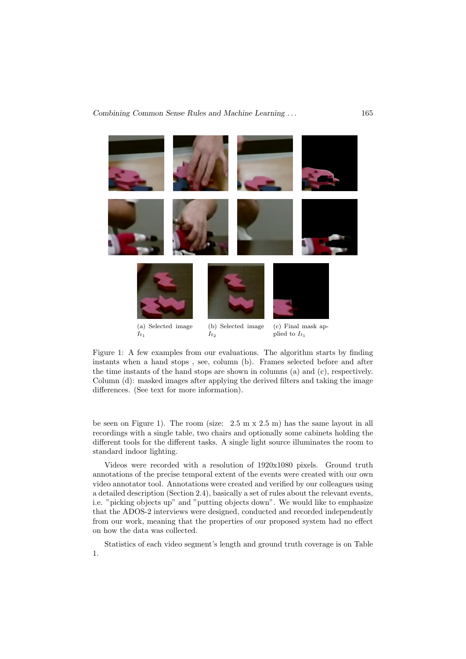

Figure 1: A few examples from our evaluations. The algorithm starts by finding instants when a hand stops , see, column (b). Frames selected before and after the time instants of the hand stops are shown in columns (a) and  $(c)$ , respectively. Column (d): masked images after applying the derived filters and taking the image differences. (See text for more information).

be seen on Figure 1). The room (size: 2.5 m x 2.5 m) has the same layout in all recordings with a single table, two chairs and optionally some cabinets holding the different tools for the different tasks. A single light source illuminates the room to standard indoor lighting.

Videos were recorded with a resolution of 1920x1080 pixels. Ground truth annotations of the precise temporal extent of the events were created with our own video annotator tool. Annotations were created and verified by our colleagues using a detailed description (Section 2.4), basically a set of rules about the relevant events, i.e. "picking objects up" and "putting objects down". We would like to emphasize that the ADOS-2 interviews were designed, conducted and recorded independently from our work, meaning that the properties of our proposed system had no effect on how the data was collected.

Statistics of each video segment's length and ground truth coverage is on Table 1.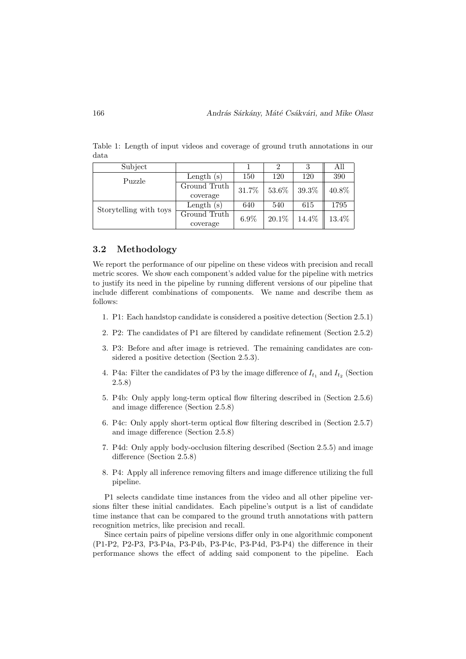| Subject                |              |         |          |          | All   |  |
|------------------------|--------------|---------|----------|----------|-------|--|
| Puzzle                 | Length $(s)$ | 150     | 120      | 120      | 390   |  |
|                        | Ground Truth | 31.7%   | $53.6\%$ | $39.3\%$ | 40.8% |  |
|                        | coverage     |         |          |          |       |  |
| Storytelling with toys | Length $(s)$ | 640     | 540      | 615      | 1795  |  |
|                        | Ground Truth | $6.9\%$ | $20.1\%$ | 14.4%    | 13.4% |  |
|                        | coverage     |         |          |          |       |  |

Table 1: Length of input videos and coverage of ground truth annotations in our data

### 3.2 Methodology

We report the performance of our pipeline on these videos with precision and recall metric scores. We show each component's added value for the pipeline with metrics to justify its need in the pipeline by running different versions of our pipeline that include different combinations of components. We name and describe them as follows:

- 1. P1: Each handstop candidate is considered a positive detection (Section 2.5.1)
- 2. P2: The candidates of P1 are filtered by candidate refinement (Section 2.5.2)
- 3. P3: Before and after image is retrieved. The remaining candidates are considered a positive detection (Section 2.5.3).
- 4. P4a: Filter the candidates of P3 by the image difference of  $I_{t_1}$  and  $I_{t_2}$  (Section 2.5.8)
- 5. P4b: Only apply long-term optical flow filtering described in (Section 2.5.6) and image difference (Section 2.5.8)
- 6. P4c: Only apply short-term optical flow filtering described in (Section 2.5.7) and image difference (Section 2.5.8)
- 7. P4d: Only apply body-occlusion filtering described (Section 2.5.5) and image difference (Section 2.5.8)
- 8. P4: Apply all inference removing filters and image difference utilizing the full pipeline.

P1 selects candidate time instances from the video and all other pipeline versions filter these initial candidates. Each pipeline's output is a list of candidate time instance that can be compared to the ground truth annotations with pattern recognition metrics, like precision and recall.

Since certain pairs of pipeline versions differ only in one algorithmic component (P1-P2, P2-P3, P3-P4a, P3-P4b, P3-P4c, P3-P4d, P3-P4) the difference in their performance shows the effect of adding said component to the pipeline. Each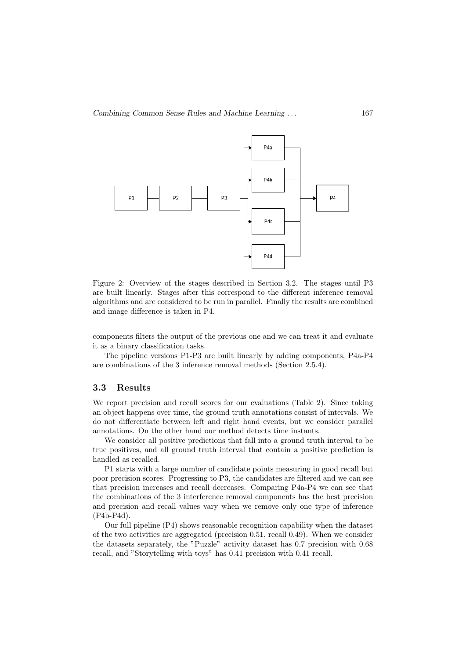

Figure 2: Overview of the stages described in Section 3.2. The stages until P3 are built linearly. Stages after this correspond to the different inference removal algorithms and are considered to be run in parallel. Finally the results are combined and image difference is taken in P4.

components filters the output of the previous one and we can treat it and evaluate it as a binary classification tasks.

The pipeline versions P1-P3 are built linearly by adding components, P4a-P4 are combinations of the 3 inference removal methods (Section 2.5.4).

### 3.3 Results

We report precision and recall scores for our evaluations (Table 2). Since taking an object happens over time, the ground truth annotations consist of intervals. We do not differentiate between left and right hand events, but we consider parallel annotations. On the other hand our method detects time instants.

We consider all positive predictions that fall into a ground truth interval to be true positives, and all ground truth interval that contain a positive prediction is handled as recalled.

P1 starts with a large number of candidate points measuring in good recall but poor precision scores. Progressing to P3, the candidates are filtered and we can see that precision increases and recall decreases. Comparing P4a-P4 we can see that the combinations of the 3 interference removal components has the best precision and precision and recall values vary when we remove only one type of inference (P4b-P4d).

Our full pipeline  $(P4)$  shows reasonable recognition capability when the dataset of the two activities are aggregated (precision 0.51, recall 0.49). When we consider the datasets separately, the "Puzzle" activity dataset has 0.7 precision with 0.68 recall, and "Storytelling with toys" has 0.41 precision with 0.41 recall.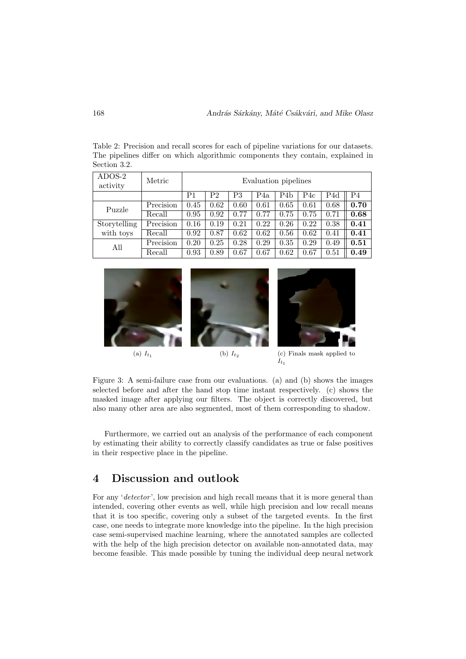| ADOS-2<br>activity | Metric    | Evaluation pipelines |                |            |      |      |      |      |                |
|--------------------|-----------|----------------------|----------------|------------|------|------|------|------|----------------|
|                    |           | P1                   | P <sub>2</sub> | P3         | P4a  | P4b  | P4c  | P4d  | P <sub>4</sub> |
| Puzzle             | Precision | 0.45                 | 0.62           | 0.60       | 0.61 | 0.65 | 0.61 | 0.68 | 0.70           |
|                    | Recall    | 0.95                 | 0.92           | 0.77       | 0.77 | 0.75 | 0.75 | 0.71 | 0.68           |
| Storytelling       | Precision | 0.16                 | 0.19           | $\rm 0.21$ | 0.22 | 0.26 | 0.22 | 0.38 | 0.41           |
| with toys          | Recall    | 0.92                 | 0.87           | 0.62       | 0.62 | 0.56 | 0.62 | 0.41 | 0.41           |
| All                | Precision | 0.20                 | 0.25           | 0.28       | 0.29 | 0.35 | 0.29 | 0.49 | 0.51           |
|                    | Recall    | 0.93                 | 0.89           | 0.67       | 0.67 | 0.62 | 0.67 | 0.51 | 0.49           |

Table 2: Precision and recall scores for each of pipeline variations for our datasets. The pipelines differ on which algorithmic components they contain, explained in Section 3.2.





(a)  $I_{t_1}$ 



(c) Finals mask applied to  $I_{t_1}$ 

Figure 3: A semi-failure case from our evaluations. (a) and (b) shows the images selected before and after the hand stop time instant respectively. (c) shows the masked image after applying our filters. The object is correctly discovered, but also many other area are also segmented, most of them corresponding to shadow.

Furthermore, we carried out an analysis of the performance of each component by estimating their ability to correctly classify candidates as true or false positives in their respective place in the pipeline.

# 4 Discussion and outlook

For any 'detector', low precision and high recall means that it is more general than intended, covering other events as well, while high precision and low recall means that it is too specific, covering only a subset of the targeted events. In the first case, one needs to integrate more knowledge into the pipeline. In the high precision case semi-supervised machine learning, where the annotated samples are collected with the help of the high precision detector on available non-annotated data, may become feasible. This made possible by tuning the individual deep neural network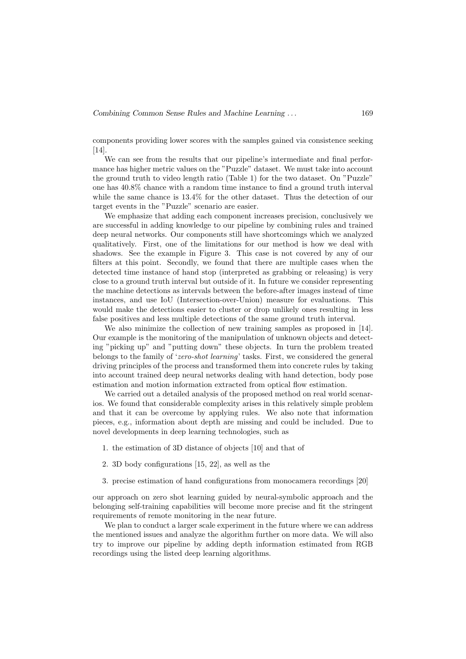components providing lower scores with the samples gained via consistence seeking [14].

We can see from the results that our pipeline's intermediate and final performance has higher metric values on the "Puzzle" dataset. We must take into account the ground truth to video length ratio (Table 1) for the two dataset. On "Puzzle" one has 40.8% chance with a random time instance to find a ground truth interval while the same chance is 13.4% for the other dataset. Thus the detection of our target events in the "Puzzle" scenario are easier.

We emphasize that adding each component increases precision, conclusively we are successful in adding knowledge to our pipeline by combining rules and trained deep neural networks. Our components still have shortcomings which we analyzed qualitatively. First, one of the limitations for our method is how we deal with shadows. See the example in Figure 3. This case is not covered by any of our filters at this point. Secondly, we found that there are multiple cases when the detected time instance of hand stop (interpreted as grabbing or releasing) is very close to a ground truth interval but outside of it. In future we consider representing the machine detections as intervals between the before-after images instead of time instances, and use IoU (Intersection-over-Union) measure for evaluations. This would make the detections easier to cluster or drop unlikely ones resulting in less false positives and less multiple detections of the same ground truth interval.

We also minimize the collection of new training samples as proposed in [14]. Our example is the monitoring of the manipulation of unknown objects and detecting "picking up" and "putting down" these objects. In turn the problem treated belongs to the family of 'zero-shot learning' tasks. First, we considered the general driving principles of the process and transformed them into concrete rules by taking into account trained deep neural networks dealing with hand detection, body pose estimation and motion information extracted from optical flow estimation.

We carried out a detailed analysis of the proposed method on real world scenarios. We found that considerable complexity arises in this relatively simple problem and that it can be overcome by applying rules. We also note that information pieces, e.g., information about depth are missing and could be included. Due to novel developments in deep learning technologies, such as

- 1. the estimation of 3D distance of objects [10] and that of
- 2. 3D body configurations [15, 22], as well as the
- 3. precise estimation of hand configurations from monocamera recordings [20]

our approach on zero shot learning guided by neural-symbolic approach and the belonging self-training capabilities will become more precise and fit the stringent requirements of remote monitoring in the near future.

We plan to conduct a larger scale experiment in the future where we can address the mentioned issues and analyze the algorithm further on more data. We will also try to improve our pipeline by adding depth information estimated from RGB recordings using the listed deep learning algorithms.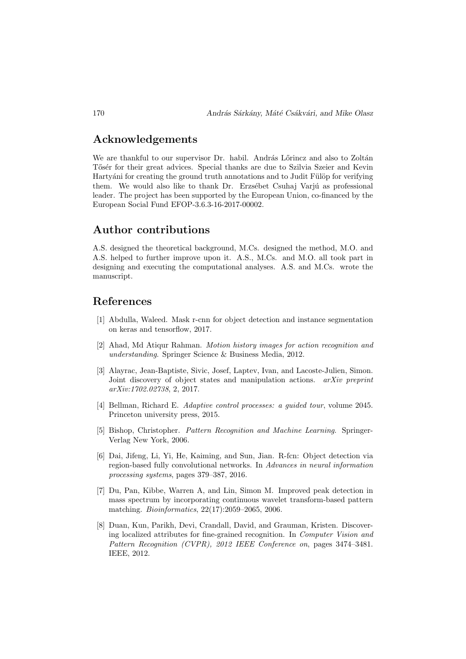# Acknowledgements

We are thankful to our supervisor Dr. habil. András Lőrincz and also to Zoltán Tősér for their great advices. Special thanks are due to Szilvia Szeier and Kevin Hartyáni for creating the ground truth annotations and to Judit Fülöp for verifying them. We would also like to thank Dr. Erzsébet Csuhaj Varjú as professional leader. The project has been supported by the European Union, co-financed by the European Social Fund EFOP-3.6.3-16-2017-00002.

# Author contributions

A.S. designed the theoretical background, M.Cs. designed the method, M.O. and A.S. helped to further improve upon it. A.S., M.Cs. and M.O. all took part in designing and executing the computational analyses. A.S. and M.Cs. wrote the manuscript.

# References

- [1] Abdulla, Waleed. Mask r-cnn for object detection and instance segmentation on keras and tensorflow, 2017.
- [2] Ahad, Md Atiqur Rahman. Motion history images for action recognition and understanding. Springer Science & Business Media, 2012.
- [3] Alayrac, Jean-Baptiste, Sivic, Josef, Laptev, Ivan, and Lacoste-Julien, Simon. Joint discovery of object states and manipulation actions. arXiv preprint arXiv:1702.02738, 2, 2017.
- [4] Bellman, Richard E. Adaptive control processes: a guided tour, volume 2045. Princeton university press, 2015.
- [5] Bishop, Christopher. Pattern Recognition and Machine Learning. Springer-Verlag New York, 2006.
- [6] Dai, Jifeng, Li, Yi, He, Kaiming, and Sun, Jian. R-fcn: Object detection via region-based fully convolutional networks. In Advances in neural information processing systems, pages 379–387, 2016.
- [7] Du, Pan, Kibbe, Warren A, and Lin, Simon M. Improved peak detection in mass spectrum by incorporating continuous wavelet transform-based pattern matching. Bioinformatics, 22(17):2059–2065, 2006.
- [8] Duan, Kun, Parikh, Devi, Crandall, David, and Grauman, Kristen. Discovering localized attributes for fine-grained recognition. In Computer Vision and Pattern Recognition (CVPR), 2012 IEEE Conference on, pages 3474-3481. IEEE, 2012.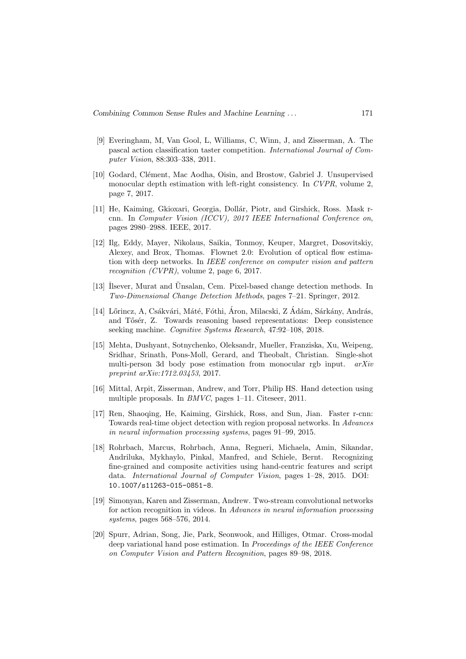- [9] Everingham, M, Van Gool, L, Williams, C, Winn, J, and Zisserman, A. The pascal action classification taster competition. International Journal of Computer Vision, 88:303–338, 2011.
- [10] Godard, Clément, Mac Aodha, Oisin, and Brostow, Gabriel J. Unsupervised monocular depth estimation with left-right consistency. In CVPR, volume 2, page 7, 2017.
- [11] He, Kaiming, Gkioxari, Georgia, Dollár, Piotr, and Girshick, Ross. Mask rcnn. In Computer Vision (ICCV), 2017 IEEE International Conference on, pages 2980–2988. IEEE, 2017.
- [12] Ilg, Eddy, Mayer, Nikolaus, Saikia, Tonmoy, Keuper, Margret, Dosovitskiy, Alexey, and Brox, Thomas. Flownet 2.0: Evolution of optical flow estimation with deep networks. In IEEE conference on computer vision and pattern recognition (CVPR), volume 2, page 6, 2017.
- [13] Ilsever, Murat and Ünsalan, Cem. Pixel-based change detection methods. In Two-Dimensional Change Detection Methods, pages 7–21. Springer, 2012.
- [14] Lőrincz, A, Csákvári, Máté, Fóthi, Áron, Milacski, Z Ádám, Sárkány, András, and Tősér, Z. Towards reasoning based representations: Deep consistence seeking machine. Cognitive Systems Research, 47:92–108, 2018.
- [15] Mehta, Dushyant, Sotnychenko, Oleksandr, Mueller, Franziska, Xu, Weipeng, Sridhar, Srinath, Pons-Moll, Gerard, and Theobalt, Christian. Single-shot multi-person 3d body pose estimation from monocular rgb input. arXiv preprint arXiv:1712.03453, 2017.
- [16] Mittal, Arpit, Zisserman, Andrew, and Torr, Philip HS. Hand detection using multiple proposals. In BMVC, pages 1–11. Citeseer, 2011.
- [17] Ren, Shaoqing, He, Kaiming, Girshick, Ross, and Sun, Jian. Faster r-cnn: Towards real-time object detection with region proposal networks. In Advances in neural information processing systems, pages 91–99, 2015.
- [18] Rohrbach, Marcus, Rohrbach, Anna, Regneri, Michaela, Amin, Sikandar, Andriluka, Mykhaylo, Pinkal, Manfred, and Schiele, Bernt. Recognizing fine-grained and composite activities using hand-centric features and script data. International Journal of Computer Vision, pages 1–28, 2015. DOI: 10.1007/s11263-015-0851-8.
- [19] Simonyan, Karen and Zisserman, Andrew. Two-stream convolutional networks for action recognition in videos. In Advances in neural information processing systems, pages 568–576, 2014.
- [20] Spurr, Adrian, Song, Jie, Park, Seonwook, and Hilliges, Otmar. Cross-modal deep variational hand pose estimation. In *Proceedings of the IEEE Conference* on Computer Vision and Pattern Recognition, pages 89–98, 2018.